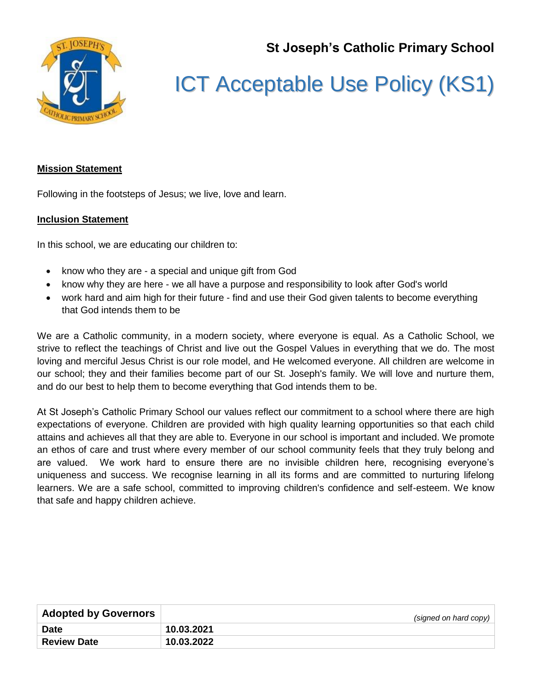**St Joseph's Catholic Primary School**



## ICT Acceptable Use Policy (KS1)

## **Mission Statement**

Following in the footsteps of Jesus; we live, love and learn.

## **Inclusion Statement**

In this school, we are educating our children to:

- know who they are a special and unique gift from God
- know why they are here we all have a purpose and responsibility to look after God's world
- work hard and aim high for their future find and use their God given talents to become everything that God intends them to be

We are a Catholic community, in a modern society, where everyone is equal. As a Catholic School, we strive to reflect the teachings of Christ and live out the Gospel Values in everything that we do. The most loving and merciful Jesus Christ is our role model, and He welcomed everyone. All children are welcome in our school; they and their families become part of our St. Joseph's family. We will love and nurture them, and do our best to help them to become everything that God intends them to be.

At St Joseph's Catholic Primary School our values reflect our commitment to a school where there are high expectations of everyone. Children are provided with high quality learning opportunities so that each child attains and achieves all that they are able to. Everyone in our school is important and included. We promote an ethos of care and trust where every member of our school community feels that they truly belong and are valued. We work hard to ensure there are no invisible children here, recognising everyone's uniqueness and success. We recognise learning in all its forms and are committed to nurturing lifelong learners. We are a safe school, committed to improving children's confidence and self-esteem. We know that safe and happy children achieve.

| <b>Adopted by Governors</b> | (signed on hard copy) |
|-----------------------------|-----------------------|
| <b>Date</b>                 | 10.03.2021            |
| <b>Review Date</b>          | 10.03.2022            |